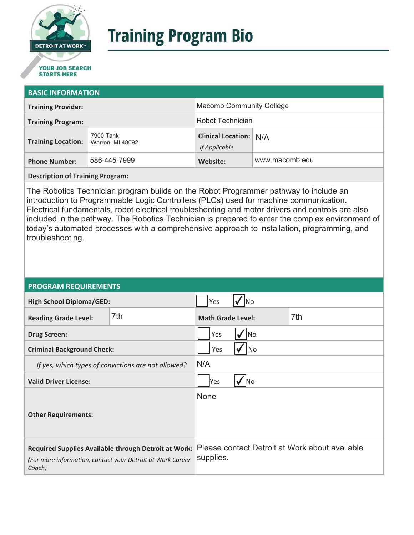

# **Training Program Bio**

## **STARTS HERE**

#### **BASIC INFORMATION**

| <b>Training Provider:</b> |                               | <b>Macomb Community College</b>                |                |
|---------------------------|-------------------------------|------------------------------------------------|----------------|
| <b>Training Program:</b>  |                               | Robot Technician                               |                |
| <b>Training Location:</b> | 7900 Tank<br>Warren, MI 48092 | <b>Clinical Location: N/A</b><br>If Applicable |                |
| <b>Phone Number:</b>      | 586-445-7999                  | Website:                                       | www.macomb.edu |

**Description of Training Program:** 

The Robotics Technician program builds on the Robot Programmer pathway to include an introduction to Programmable Logic Controllers (PLCs) used for machine communication. Electrical fundamentals, robot electrical troubleshooting and motor drivers and controls are also included in the pathway. The Robotics Technician is prepared to enter the complex environment of today's automated processes with a comprehensive approach to installation, programming, and troubleshooting.

#### **PROGRAM REQUIREMENTS**

| <b>High School Diploma/GED:</b>                                                                                              |     | Yes                      |  |                                                |
|------------------------------------------------------------------------------------------------------------------------------|-----|--------------------------|--|------------------------------------------------|
| <b>Reading Grade Level:</b>                                                                                                  | 7th | <b>Math Grade Level:</b> |  | 7th                                            |
| <b>Drug Screen:</b>                                                                                                          |     | Yes<br>No                |  |                                                |
| <b>Criminal Background Check:</b>                                                                                            |     | Yes<br>No                |  |                                                |
| If yes, which types of convictions are not allowed?                                                                          |     | N/A                      |  |                                                |
| <b>Valid Driver License:</b>                                                                                                 |     | Yes<br><b>No</b>         |  |                                                |
| <b>Other Requirements:</b>                                                                                                   |     | None                     |  |                                                |
| Required Supplies Available through Detroit at Work:<br>(For more information, contact your Detroit at Work Career<br>Coach) |     | supplies.                |  | Please contact Detroit at Work about available |